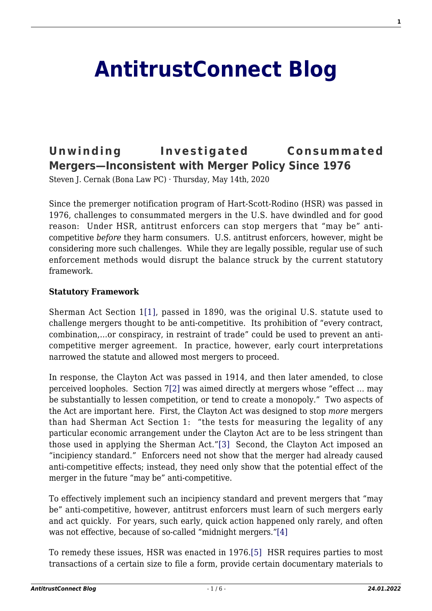# **[AntitrustConnect Blog](http://antitrustconnect.com/)**

## **[Unwinding Investigated Consummated](http://antitrustconnect.com/2020/05/14/unwinding-investigated-consummated-mergers-inconsistent-with-merger-policy-since-1976/) [Mergers—Inconsistent with Merger Policy Since 1976](http://antitrustconnect.com/2020/05/14/unwinding-investigated-consummated-mergers-inconsistent-with-merger-policy-since-1976/)**

Steven J. Cernak (Bona Law PC) · Thursday, May 14th, 2020

Since the premerger notification program of Hart-Scott-Rodino (HSR) was passed in 1976, challenges to consummated mergers in the U.S. have dwindled and for good reason: Under HSR, antitrust enforcers can stop mergers that "may be" anticompetitive *before* they harm consumers. U.S. antitrust enforcers, however, might be considering more such challenges. While they are legally possible, regular use of such enforcement methods would disrupt the balance struck by the current statutory framework.

#### **Statutory Framework**

<span id="page-0-0"></span>Sherman Act Section 1[\[1\],](#page-3-0) passed in 1890, was the original U.S. statute used to challenge mergers thought to be anti-competitive. Its prohibition of "every contract, combination,…or conspiracy, in restraint of trade" could be used to prevent an anticompetitive merger agreement. In practice, however, early court interpretations narrowed the statute and allowed most mergers to proceed.

<span id="page-0-1"></span>In response, the Clayton Act was passed in 1914, and then later amended, to close perceived loopholes. Section [7\[2\]](#page-3-1) was aimed directly at mergers whose "effect … may be substantially to lessen competition, or tend to create a monopoly." Two aspects of the Act are important here. First, the Clayton Act was designed to stop *more* mergers than had Sherman Act Section 1: "the tests for measuring the legality of any particular economic arrangement under the Clayton Act are to be less stringent than those used in applying the Sherman Act.["\[3\]](#page-3-2) Second, the Clayton Act imposed an "incipiency standard." Enforcers need not show that the merger had already caused anti-competitive effects; instead, they need only show that the potential effect of the merger in the future "may be" anti-competitive.

<span id="page-0-2"></span>To effectively implement such an incipiency standard and prevent mergers that "may be" anti-competitive, however, antitrust enforcers must learn of such mergers early and act quickly. For years, such early, quick action happened only rarely, and often was not effective, because of so-called "midnight mergers."[\[4\]](#page-3-3)

<span id="page-0-4"></span><span id="page-0-3"></span>To remedy these issues, HSR was enacted in 1976.[\[5\]](#page-3-4) HSR requires parties to most transactions of a certain size to file a form, provide certain documentary materials to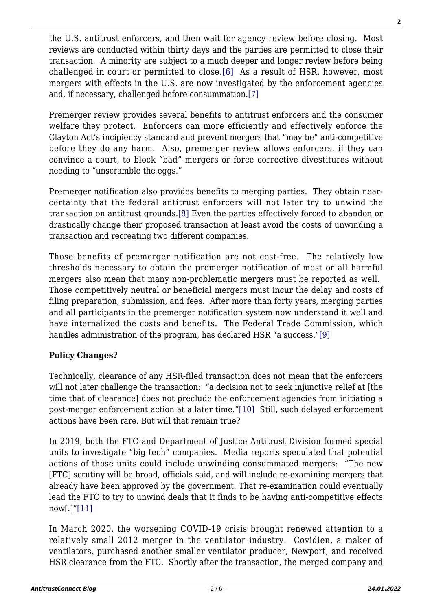<span id="page-1-0"></span>the U.S. antitrust enforcers, and then wait for agency review before closing. Most reviews are conducted within thirty days and the parties are permitted to close their transaction. A minority are subject to a much deeper and longer review before being challenged in court or permitted to close.[\[6\]](#page-3-5) As a result of HSR, however, most mergers with effects in the U.S. are now investigated by the enforcement agencies and, if necessary, challenged before consummation.[\[7\]](#page-3-6)

<span id="page-1-1"></span>Premerger review provides several benefits to antitrust enforcers and the consumer welfare they protect. Enforcers can more efficiently and effectively enforce the Clayton Act's incipiency standard and prevent mergers that "may be" anti-competitive before they do any harm. Also, premerger review allows enforcers, if they can convince a court, to block "bad" mergers or force corrective divestitures without needing to "unscramble the eggs."

<span id="page-1-2"></span>Premerger notification also provides benefits to merging parties. They obtain nearcertainty that the federal antitrust enforcers will not later try to unwind the transaction on antitrust grounds.[\[8\]](#page-3-7) Even the parties effectively forced to abandon or drastically change their proposed transaction at least avoid the costs of unwinding a transaction and recreating two different companies.

Those benefits of premerger notification are not cost-free. The relatively low thresholds necessary to obtain the premerger notification of most or all harmful mergers also mean that many non-problematic mergers must be reported as well. Those competitively neutral or beneficial mergers must incur the delay and costs of filing preparation, submission, and fees. After more than forty years, merging parties and all participants in the premerger notification system now understand it well and have internalized the costs and benefits. The Federal Trade Commission, which handles administration of the program, has declared HSR "a success.["\[9\]](#page-3-8)

### <span id="page-1-3"></span>**Policy Changes?**

Technically, clearance of any HSR-filed transaction does not mean that the enforcers will not later challenge the transaction: "a decision not to seek injunctive relief at [the time that of clearance] does not preclude the enforcement agencies from initiating a post-merger enforcement action at a later time.["\[10\]](#page-3-9) Still, such delayed enforcement actions have been rare. But will that remain true?

<span id="page-1-4"></span>In 2019, both the FTC and Department of Justice Antitrust Division formed special units to investigate "big tech" companies. Media reports speculated that potential actions of those units could include unwinding consummated mergers: "The new [FTC] scrutiny will be broad, officials said, and will include re-examining mergers that already have been approved by the government. That re-examination could eventually lead the FTC to try to unwind deals that it finds to be having anti-competitive effects now[.]["\[11\]](#page-4-0)

<span id="page-1-5"></span>In March 2020, the worsening COVID-19 crisis brought renewed attention to a relatively small 2012 merger in the ventilator industry. Covidien, a maker of ventilators, purchased another smaller ventilator producer, Newport, and received HSR clearance from the FTC. Shortly after the transaction, the merged company and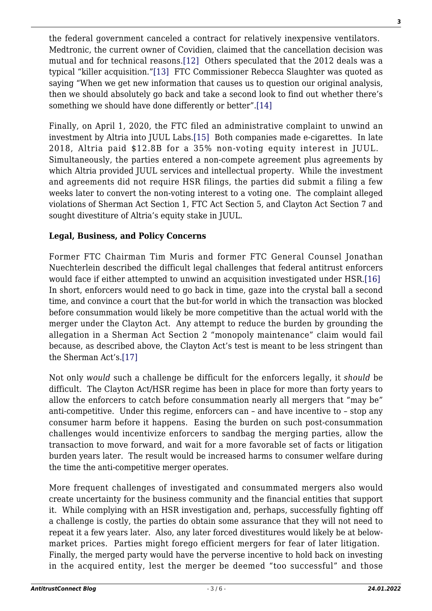<span id="page-2-1"></span><span id="page-2-0"></span>the federal government canceled a contract for relatively inexpensive ventilators. Medtronic, the current owner of Covidien, claimed that the cancellation decision was mutual and for technical reasons[.\[12\]](#page-4-1) Others speculated that the 2012 deals was a typical "killer acquisition.["\[13\]](#page-4-2) FTC Commissioner Rebecca Slaughter was quoted as saying "When we get new information that causes us to question our original analysis, then we should absolutely go back and take a second look to find out whether there's something we should have done differently or better".[\[14\]](#page-4-3)

<span id="page-2-3"></span><span id="page-2-2"></span>Finally, on April 1, 2020, the FTC filed an administrative complaint to unwind an investment by Altria into JUUL Labs.[\[15\]](#page-4-4) Both companies made e-cigarettes. In late 2018, Altria paid \$12.8B for a 35% non-voting equity interest in JUUL. Simultaneously, the parties entered a non-compete agreement plus agreements by which Altria provided JUUL services and intellectual property. While the investment and agreements did not require HSR filings, the parties did submit a filing a few weeks later to convert the non-voting interest to a voting one. The complaint alleged violations of Sherman Act Section 1, FTC Act Section 5, and Clayton Act Section 7 and sought divestiture of Altria's equity stake in JUUL.

#### **Legal, Business, and Policy Concerns**

<span id="page-2-4"></span>Former FTC Chairman Tim Muris and former FTC General Counsel Jonathan Nuechterlein described the difficult legal challenges that federal antitrust enforcers would face if either attempted to unwind an acquisition investigated under HSR.[\[16\]](#page-4-5) In short, enforcers would need to go back in time, gaze into the crystal ball a second time, and convince a court that the but-for world in which the transaction was blocked before consummation would likely be more competitive than the actual world with the merger under the Clayton Act. Any attempt to reduce the burden by grounding the allegation in a Sherman Act Section 2 "monopoly maintenance" claim would fail because, as described above, the Clayton Act's test is meant to be less stringent than the Sherman Act's[.\[17\]](#page-4-6)

<span id="page-2-5"></span>Not only *would* such a challenge be difficult for the enforcers legally, it *should* be difficult. The Clayton Act/HSR regime has been in place for more than forty years to allow the enforcers to catch before consummation nearly all mergers that "may be" anti-competitive. Under this regime, enforcers can – and have incentive to – stop any consumer harm before it happens. Easing the burden on such post-consummation challenges would incentivize enforcers to sandbag the merging parties, allow the transaction to move forward, and wait for a more favorable set of facts or litigation burden years later. The result would be increased harms to consumer welfare during the time the anti-competitive merger operates.

More frequent challenges of investigated and consummated mergers also would create uncertainty for the business community and the financial entities that support it. While complying with an HSR investigation and, perhaps, successfully fighting off a challenge is costly, the parties do obtain some assurance that they will not need to repeat it a few years later. Also, any later forced divestitures would likely be at belowmarket prices. Parties might forego efficient mergers for fear of later litigation. Finally, the merged party would have the perverse incentive to hold back on investing in the acquired entity, lest the merger be deemed "too successful" and those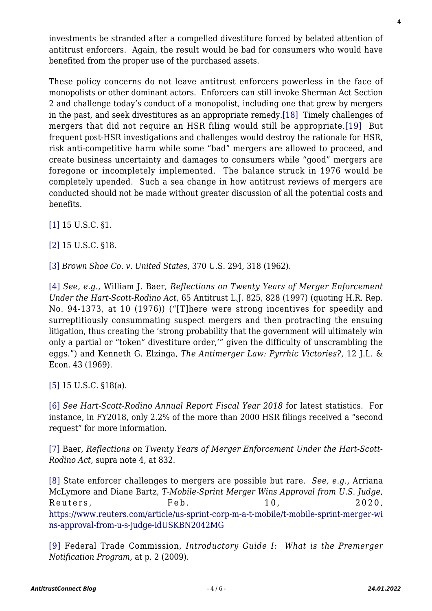investments be stranded after a compelled divestiture forced by belated attention of antitrust enforcers. Again, the result would be bad for consumers who would have benefited from the proper use of the purchased assets.

<span id="page-3-11"></span><span id="page-3-10"></span>These policy concerns do not leave antitrust enforcers powerless in the face of monopolists or other dominant actors. Enforcers can still invoke Sherman Act Section 2 and challenge today's conduct of a monopolist, including one that grew by mergers in the past, and seek divestitures as an appropriate remedy[.\[18\]](#page-4-7) Timely challenges of mergers that did not require an HSR filing would still be appropriate.[\[19\]](#page-4-8) But frequent post-HSR investigations and challenges would destroy the rationale for HSR, risk anti-competitive harm while some "bad" mergers are allowed to proceed, and create business uncertainty and damages to consumers while "good" mergers are foregone or incompletely implemented. The balance struck in 1976 would be completely upended. Such a sea change in how antitrust reviews of mergers are conducted should not be made without greater discussion of all the potential costs and benefits.

<span id="page-3-0"></span>[\[1\]](#page-0-0) 15 U.S.C. §1.

<span id="page-3-1"></span>[\[2\]](#page-0-1) 15 U.S.C. §18.

<span id="page-3-2"></span>[\[3\]](#page-0-2) *Brown Shoe Co. v. United States*, 370 U.S. 294, 318 (1962).

<span id="page-3-3"></span>[\[4\]](#page-0-3) *See, e.g.,* William J. Baer, *Reflections on Twenty Years of Merger Enforcement Under the Hart-Scott-Rodino Act*, 65 Antitrust L.J. 825, 828 (1997) (quoting H.R. Rep. No. 94-1373, at 10 (1976)) ("[T]here were strong incentives for speedily and surreptitiously consummating suspect mergers and then protracting the ensuing litigation, thus creating the 'strong probability that the government will ultimately win only a partial or "token" divestiture order,'" given the difficulty of unscrambling the eggs.") and Kenneth G. Elzinga, *The Antimerger Law: Pyrrhic Victories?*, 12 J.L. & Econ. 43 (1969).

<span id="page-3-4"></span>[\[5\]](#page-0-4) 15 U.S.C. §18(a).

<span id="page-3-5"></span>[\[6\]](#page-1-0) *See Hart-Scott-Rodino Annual Report Fiscal Year 2018* for latest statistics. For instance, in FY2018, only 2.2% of the more than 2000 HSR filings received a "second request" for more information.

<span id="page-3-6"></span>[\[7\]](#page-1-1) Baer, *Reflections on Twenty Years of Merger Enforcement Under the Hart-Scott-Rodino Act*, supra note 4, at 832.

<span id="page-3-7"></span>[\[8\]](#page-1-2) State enforcer challenges to mergers are possible but rare. *See, e.g.,* Arriana McLymore and Diane Bartz, *T-Mobile-Sprint Merger Wins Approval from U.S. Judge*, Reuters, Feb. 10, 2020, [https://www.reuters.com/article/us-sprint-corp-m-a-t-mobile/t-mobile-sprint-merger-wi](https://www.reuters.com/article/us-sprint-corp-m-a-t-mobile/t-mobile-sprint-merger-wins-approval-from-u-s-judge-idUSKBN2042MG) [ns-approval-from-u-s-judge-idUSKBN2042MG](https://www.reuters.com/article/us-sprint-corp-m-a-t-mobile/t-mobile-sprint-merger-wins-approval-from-u-s-judge-idUSKBN2042MG)

<span id="page-3-9"></span><span id="page-3-8"></span>[\[9\]](#page-1-3) Federal Trade Commission, *Introductory Guide I: What is the Premerger Notification Program,* at p. 2 (2009).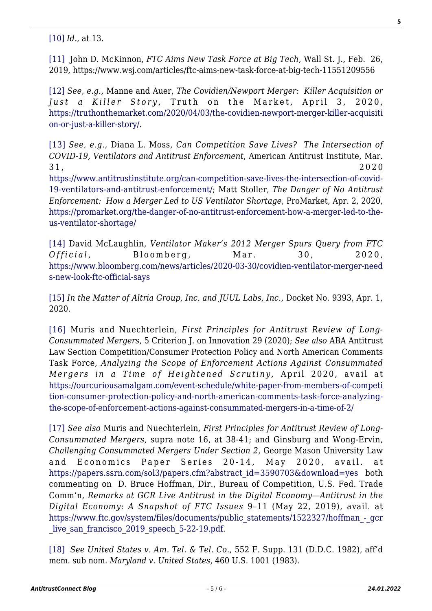[\[10\]](#page-1-4) *Id.*, at 13.

<span id="page-4-0"></span>[\[11\]](#page-1-5) John D. McKinnon, *FTC Aims New Task Force at Big Tech*, Wall St. J., Feb. 26, 2019, https://www.wsj.com/articles/ftc-aims-new-task-force-at-big-tech-11551209556

<span id="page-4-1"></span>[\[12\]](#page-2-0) *See, e.g.,* Manne and Auer, *The Covidien/Newport Merger: Killer Acquisition or Just a Killer Story* , Truth on the Market, April 3, 2020, [https://truthonthemarket.com/2020/04/03/the-covidien-newport-merger-killer-acquisiti](https://truthonthemarket.com/2020/04/03/the-covidien-newport-merger-killer-acquisition-or-just-a-killer-story/) [on-or-just-a-killer-story/](https://truthonthemarket.com/2020/04/03/the-covidien-newport-merger-killer-acquisition-or-just-a-killer-story/).

<span id="page-4-2"></span>[\[13\]](#page-2-1) *See, e.g.,* Diana L. Moss, *Can Competition Save Lives? The Intersection of COVID-19, Ventilators and Antitrust Enforcement*, American Antitrust Institute, Mar.  $31, 2020$ 

[https://www.antitrustinstitute.org/can-competition-save-lives-the-intersection-of-covid-](https://www.antitrustinstitute.org/can-competition-save-lives-the-intersection-of-covid-19-ventilators-and-antitrust-enforcement/)[19-ventilators-and-antitrust-enforcement/](https://www.antitrustinstitute.org/can-competition-save-lives-the-intersection-of-covid-19-ventilators-and-antitrust-enforcement/); Matt Stoller, *The Danger of No Antitrust Enforcement: How a Merger Led to US Ventilator Shortage*, ProMarket, Apr. 2, 2020, [https://promarket.org/the-danger-of-no-antitrust-enforcement-how-a-merger-led-to-the](https://promarket.org/the-danger-of-no-antitrust-enforcement-how-a-merger-led-to-the-us-ventilator-shortage/)[us-ventilator-shortage/](https://promarket.org/the-danger-of-no-antitrust-enforcement-how-a-merger-led-to-the-us-ventilator-shortage/)

<span id="page-4-3"></span>[\[14\]](#page-2-2) David McLaughlin, *Ventilator Maker's 2012 Merger Spurs Query from FTC Official* , Bloomberg, Mar. 30, 2020, [https://www.bloomberg.com/news/articles/2020-03-30/covidien-ventilator-merger-need](https://www.bloomberg.com/news/articles/2020-03-30/covidien-ventilator-merger-needs-new-look-ftc-official-says) [s-new-look-ftc-official-says](https://www.bloomberg.com/news/articles/2020-03-30/covidien-ventilator-merger-needs-new-look-ftc-official-says)

<span id="page-4-4"></span>[\[15\]](#page-2-3) *In the Matter of Altria Group, Inc. and JUUL Labs, Inc.*, Docket No. 9393, Apr. 1, 2020.

<span id="page-4-5"></span>[\[16\]](#page-2-4) Muris and Nuechterlein, *First Principles for Antitrust Review of Long-Consummated Mergers*, 5 Criterion J. on Innovation 29 (2020); *See also* ABA Antitrust Law Section Competition/Consumer Protection Policy and North American Comments Task Force, *Analyzing the Scope of Enforcement Actions Against Consummated Mergers in a Time of Heightened Scrutiny,* April 2020, avail at [https://ourcuriousamalgam.com/event-schedule/white-paper-from-members-of-competi](https://ourcuriousamalgam.com/event-schedule/white-paper-from-members-of-competition-consumer-protection-policy-and-north-american-comments-task-force-analyzing-the-scope-of-enforcement-actions-against-consummated-mergers-in-a-time-of-2/) [tion-consumer-protection-policy-and-north-american-comments-task-force-analyzing](https://ourcuriousamalgam.com/event-schedule/white-paper-from-members-of-competition-consumer-protection-policy-and-north-american-comments-task-force-analyzing-the-scope-of-enforcement-actions-against-consummated-mergers-in-a-time-of-2/)[the-scope-of-enforcement-actions-against-consummated-mergers-in-a-time-of-2/](https://ourcuriousamalgam.com/event-schedule/white-paper-from-members-of-competition-consumer-protection-policy-and-north-american-comments-task-force-analyzing-the-scope-of-enforcement-actions-against-consummated-mergers-in-a-time-of-2/)

<span id="page-4-6"></span>[\[17\]](#page-2-5) *See also* Muris and Nuechterlein, *First Principles for Antitrust Review of Long-Consummated Mergers,* supra note 16, at 38-41; and Ginsburg and Wong-Ervin, *Challenging Consummated Mergers Under Section 2*, George Mason University Law and Economics Paper Series 20-14, May 2020, avail. at [https://papers.ssrn.com/sol3/papers.cfm?abstract\\_id=3590703&download=yes](https://papers.ssrn.com/sol3/papers.cfm?abstract_id=3590703&download=yes) both commenting on D. Bruce Hoffman, Dir., Bureau of Competition, U.S. Fed. Trade Comm'n, *Remarks at GCR Live Antitrust in the Digital Economy—Antitrust in the Digital Economy: A Snapshot of FTC Issues* 9–11 (May 22, 2019), avail. at [https://www.ftc.gov/system/files/documents/public\\_statements/1522327/hoffman\\_-\\_gcr](https://www.ftc.gov/system/files/documents/public_statements/1522327/hoffman_-_gcr_live_san_francisco_2019_speech_5-22-19.pdf) live san francisco 2019 speech 5-22-19.pdf.

<span id="page-4-8"></span><span id="page-4-7"></span>[\[18\]](#page-3-10) *See United States v. Am. Tel. & Tel. Co.*, 552 F. Supp. 131 (D.D.C. 1982), aff'd mem. sub nom. *Maryland v. United States*, 460 U.S. 1001 (1983).